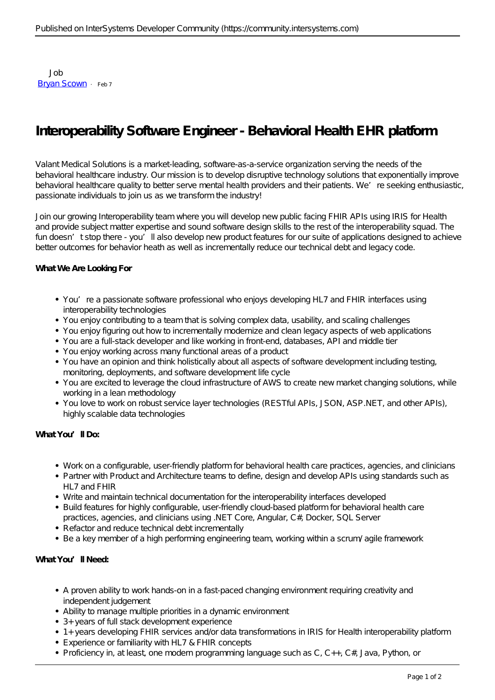Job [Bryan Scown](https://community.intersystems.com/user/bryan-scown) · Feb 7

# **Interoperability Software Engineer - Behavioral Health EHR platform**

Valant Medical Solutions is a market-leading, software-as-a-service organization serving the needs of the behavioral healthcare industry. Our mission is to develop disruptive technology solutions that exponentially improve behavioral healthcare quality to better serve mental health providers and their patients. We're seeking enthusiastic, passionate individuals to join us as we transform the industry!

Join our growing Interoperability team where you will develop new public facing FHIR APIs using IRIS for Health and provide subject matter expertise and sound software design skills to the rest of the interoperability squad. The fun doesn't stop there - you'll also develop new product features for our suite of applications designed to achieve better outcomes for behavior heath as well as incrementally reduce our technical debt and legacy code.

#### **What We Are Looking For**

- You're a passionate software professional who enjoys developing HL7 and FHIR interfaces using interoperability technologies
- You enjoy contributing to a team that is solving complex data, usability, and scaling challenges
- You enjoy figuring out how to incrementally modernize and clean legacy aspects of web applications
- You are a full-stack developer and like working in front-end, databases, API and middle tier
- You enjoy working across many functional areas of a product
- You have an opinion and think holistically about all aspects of software development including testing, monitoring, deployments, and software development life cycle
- You are excited to leverage the cloud infrastructure of AWS to create new market changing solutions, while working in a lean methodology
- You love to work on robust service layer technologies (RESTful APIs, JSON, ASP.NET, and other APIs), highly scalable data technologies

#### **What You'll Do:**

- Work on a configurable, user-friendly platform for behavioral health care practices, agencies, and clinicians
- Partner with Product and Architecture teams to define, design and develop APIs using standards such as HL7 and FHIR
- Write and maintain technical documentation for the interoperability interfaces developed
- Build features for highly configurable, user-friendly cloud-based platform for behavioral health care practices, agencies, and clinicians using .NET Core, Angular, C#, Docker, SQL Server
- Refactor and reduce technical debt incrementally
- Be a key member of a high performing engineering team, working within a scrum/agile framework

#### **What You'll Need:**

- A proven ability to work hands-on in a fast-paced changing environment requiring creativity and independent judgement
- Ability to manage multiple priorities in a dynamic environment
- 3+ years of full stack development experience
- 1+ years developing FHIR services and/or data transformations in IRIS for Health interoperability platform
- Experience or familiarity with HL7 & FHIR concepts
- Proficiency in, at least, one modern programming language such as C, C++, C#, Java, Python, or